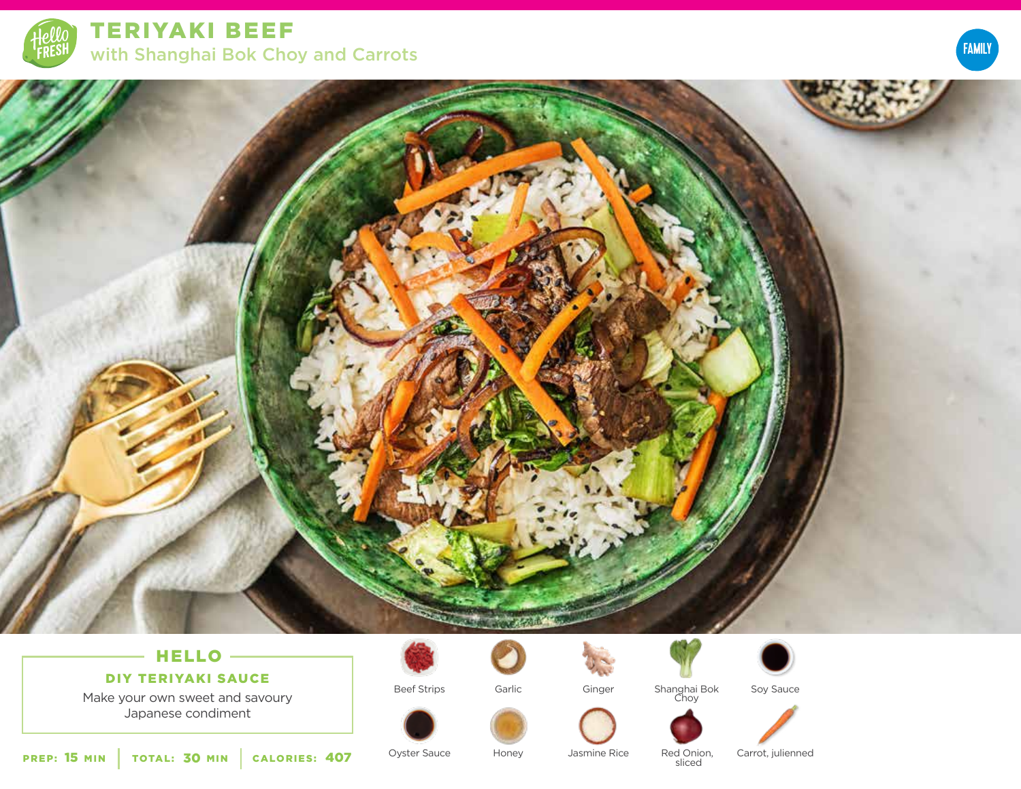

TERIYAKI BEEF with Shanghai Bok Choy and Carrots





# HELLO

DIY TERIYAKI SAUCE

Make your own sweet and savoury Japanese condiment



Beef Strips







Shanghai Bok Choy





Oyster Sauce **407** Oyster Sauce Honey Jasmine Rice Red Onion,<br>Sliced

sliced

Carrot, julienned